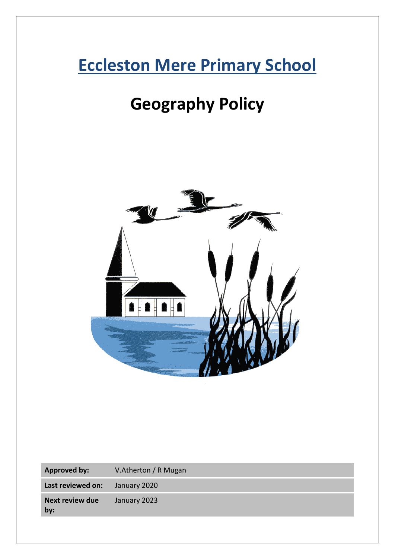# **Eccleston Mere Primary School**

# **Geography Policy**



| <b>Approved by:</b>           | V.Atherton / R Mugan |
|-------------------------------|----------------------|
| Last reviewed on:             | January 2020         |
| <b>Next review due</b><br>by: | January 2023         |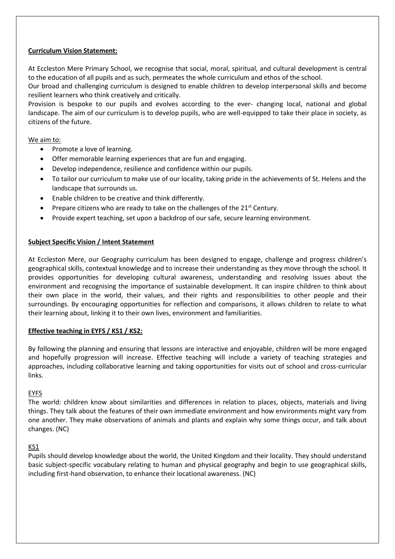# **Curriculum Vision Statement:**

At Eccleston Mere Primary School, we recognise that social, moral, spiritual, and cultural development is central to the education of all pupils and as such, permeates the whole curriculum and ethos of the school.

Our broad and challenging curriculum is designed to enable children to develop interpersonal skills and become resilient learners who think creatively and critically.

Provision is bespoke to our pupils and evolves according to the ever- changing local, national and global landscape. The aim of our curriculum is to develop pupils, who are well-equipped to take their place in society, as citizens of the future.

# We aim to:

- Promote a love of learning.
- Offer memorable learning experiences that are fun and engaging.
- Develop independence, resilience and confidence within our pupils.
- To tailor our curriculum to make use of our locality, taking pride in the achievements of St. Helens and the landscape that surrounds us.
- Enable children to be creative and think differently.
- Prepare citizens who are ready to take on the challenges of the  $21<sup>st</sup>$  Century.
- Provide expert teaching, set upon a backdrop of our safe, secure learning environment.

# **Subject Specific Vision / Intent Statement**

At Eccleston Mere, our Geography curriculum has been designed to engage, challenge and progress children's geographical skills, contextual knowledge and to increase their understanding as they move through the school. It provides opportunities for developing cultural awareness, understanding and resolving issues about the environment and recognising the importance of sustainable development. It can inspire children to think about their own place in the world, their values, and their rights and responsibilities to other people and their surroundings. By encouraging opportunities for reflection and comparisons, it allows children to relate to what their learning about, linking it to their own lives, environment and familiarities.

# **Effective teaching in EYFS / KS1 / KS2:**

By following the planning and ensuring that lessons are interactive and enjoyable, children will be more engaged and hopefully progression will increase. Effective teaching will include a variety of teaching strategies and approaches, including collaborative learning and taking opportunities for visits out of school and cross-curricular links.

# EYFS

The world: children know about similarities and differences in relation to places, objects, materials and living things. They talk about the features of their own immediate environment and how environments might vary from one another. They make observations of animals and plants and explain why some things occur, and talk about changes. (NC)

# KS1

Pupils should develop knowledge about the world, the United Kingdom and their locality. They should understand basic subject-specific vocabulary relating to human and physical geography and begin to use geographical skills, including first-hand observation, to enhance their locational awareness. (NC)